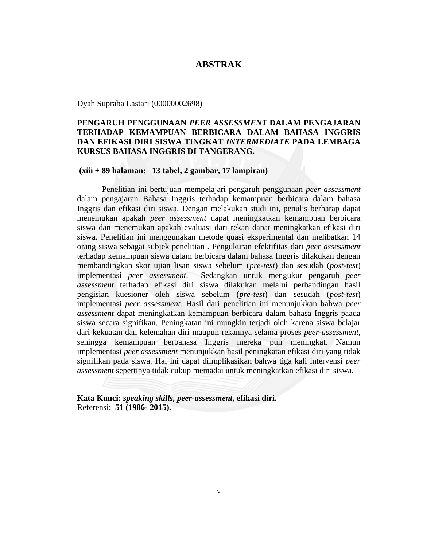### **ABSTRAK**

Dyah Supraba Lastari (00000002698)

# **PENGARUH PENGGUNAAN** *PEER ASSESSMENT* **DALAM PENGAJARAN TERHADAP KEMAMPUAN BERBICARA DALAM BAHASA INGGRIS DAN EFIKASI DIRI SISWA TINGKAT** *INTERMEDIATE* **PADA LEMBAGA KURSUS BAHASA INGGRIS DI TANGERANG.**

#### **(xiii + 89 halaman: 13 tabel, 2 gambar, 17 lampiran)**

Penelitian ini bertujuan mempelajari pengaruh penggunaan *peer assessment* dalam pengajaran Bahasa Inggris terhadap kemampuan berbicara dalam bahasa Inggris dan efikasi diri siswa. Dengan melakukan studi ini, penulis berharap dapat menemukan apakah *peer assessment* dapat meningkatkan kemampuan berbicara siswa dan menemukan apakah evaluasi dari rekan dapat meningkatkan efikasi diri siswa. Penelitian ini menggunakan metode quasi eksperimental dan melibatkan 14 orang siswa sebagai subjek penelitian . Pengukuran efektifitas dari *peer assessment* terhadap kemampuan siswa dalam berbicara dalam bahasa Inggris dilakukan dengan membandingkan skor ujian lisan siswa sebelum (*pre-test*) dan sesudah (*post-test*) implementasi *peer assessment*. Sedangkan untuk mengukur pengaruh *peer assessment* terhadap efikasi diri siswa dilakukan melalui perbandingan hasil pengisian kuesioner oleh siswa sebelum (*pre-test*) dan sesudah (*post-test*) implementasi *peer assessment.* Hasil dari penelitian ini menunjukkan bahwa *peer assessment* dapat meningkatkan kemampuan berbicara dalam bahasa Inggris paada siswa secara signifikan. Peningkatan ini mungkin terjadi oleh karena siswa belajar dari kekuatan dan kelemahan diri maupun rekannya selama proses *peer-assessment,*  sehingga kemampuan berbahasa Inggris mereka pun meningkat. Namun implementasi *peer assessment* menunjukkan hasil peningkatan efikasi diri yang tidak signifikan pada siswa. Hal ini dapat diimplikasikan bahwa tiga kali intervensi *peer assessment* sepertinya tidak cukup memadai untuk meningkatkan efikasi diri siswa.

**Kata Kunci:** *speaking skills, peer-assessment***, efikasi diri.** Referensi: **51 (1986- 2015).**